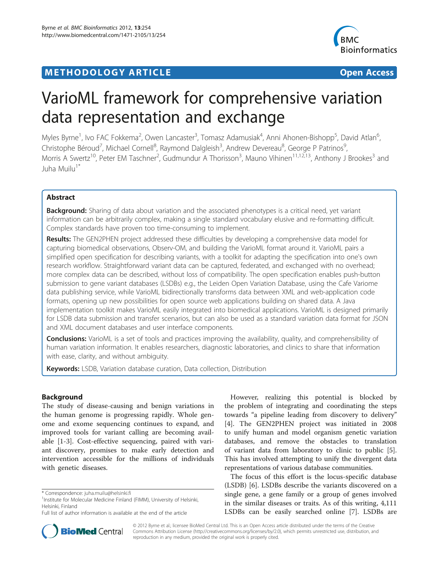# **METHODOLOGY ARTICLE CONSUMING ACCESS**



# VarioML framework for comprehensive variation data representation and exchange

Myles Byrne<sup>1</sup>, Ivo FAC Fokkema<sup>2</sup>, Owen Lancaster<sup>3</sup>, Tomasz Adamusiak<sup>4</sup>, Anni Ahonen-Bishopp<sup>5</sup>, David Atlan<sup>6</sup> , Christophe Béroud<sup>7</sup>, Michael Cornell<sup>8</sup>, Raymond Dalgleish<sup>3</sup>, Andrew Devereau<sup>8</sup>, George P Patrinos<sup>9</sup> , Morris A Swertz<sup>10</sup>, Peter EM Taschner<sup>2</sup>, Gudmundur A Thorisson<sup>3</sup>, Mauno Vihinen<sup>11,12,13</sup>, Anthony J Brookes<sup>3</sup> and Juha Muilu1\*

# Abstract

Background: Sharing of data about variation and the associated phenotypes is a critical need, yet variant information can be arbitrarily complex, making a single standard vocabulary elusive and re-formatting difficult. Complex standards have proven too time-consuming to implement.

Results: The GEN2PHEN project addressed these difficulties by developing a comprehensive data model for capturing biomedical observations, Observ-OM, and building the VarioML format around it. VarioML pairs a simplified open specification for describing variants, with a toolkit for adapting the specification into one's own research workflow. Straightforward variant data can be captured, federated, and exchanged with no overhead; more complex data can be described, without loss of compatibility. The open specification enables push-button submission to gene variant databases (LSDBs) e.g., the Leiden Open Variation Database, using the Cafe Variome data publishing service, while VarioML bidirectionally transforms data between XML and web-application code formats, opening up new possibilities for open source web applications building on shared data. A Java implementation toolkit makes VarioML easily integrated into biomedical applications. VarioML is designed primarily for LSDB data submission and transfer scenarios, but can also be used as a standard variation data format for JSON and XML document databases and user interface components.

**Conclusions:** VarioML is a set of tools and practices improving the availability, quality, and comprehensibility of human variation information. It enables researchers, diagnostic laboratories, and clinics to share that information with ease, clarity, and without ambiguity.

Keywords: LSDB, Variation database curation, Data collection, Distribution

# Background

The study of disease-causing and benign variations in the human genome is progressing rapidly. Whole genome and exome sequencing continues to expand, and improved tools for variant calling are becoming available [\[1](#page-8-0)-[3\]](#page-8-0). Cost-effective sequencing, paired with variant discovery, promises to make early detection and intervention accessible for the millions of individuals with genetic diseases.

However, realizing this potential is blocked by the problem of integrating and coordinating the steps towards "a pipeline leading from discovery to delivery" [[4\]](#page-8-0). The GEN2PHEN project was initiated in 2008 to unify human and model organism genetic variation databases, and remove the obstacles to translation of variant data from laboratory to clinic to public [\[5](#page-8-0)]. This has involved attempting to unify the divergent data representations of various database communities.

The focus of this effort is the locus-specific database (LSDB) [\[6](#page-8-0)]. LSDBs describe the variants discovered on a single gene, a gene family or a group of genes involved in the similar diseases or traits. As of this writing, 4,111 LSDBs can be easily searched online [[7\]](#page-8-0). LSDBs are



© 2012 Byrne et al.; licensee BioMed Central Ltd. This is an Open Access article distributed under the terms of the Creative Commons Attribution License [\(http://creativecommons.org/licenses/by/2.0\)](http://creativecommons.org/licenses/by/2.0), which permits unrestricted use, distribution, and reproduction in any medium, provided the original work is properly cited.

<sup>\*</sup> Correspondence: [juha.muilu@helsinki.fi](mailto:juha.muilu@helsinki.fi) <sup>1</sup>

<sup>&</sup>lt;sup>1</sup>Institute for Molecular Medicine Finland (FIMM), University of Helsinki, Helsinki, Finland

Full list of author information is available at the end of the article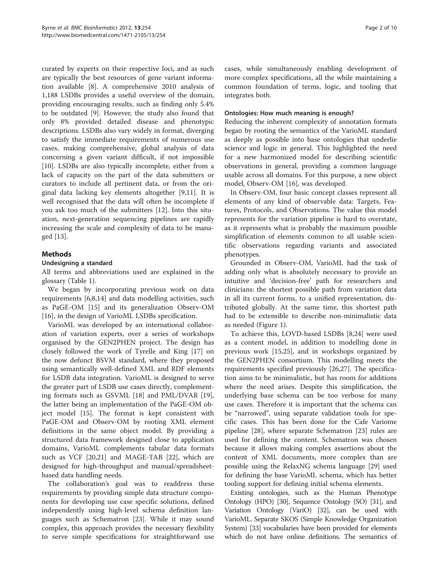curated by experts on their respective loci, and as such are typically the best resources of gene variant information available [[8\]](#page-8-0). A comprehensive 2010 analysis of 1,188 LSDBs provides a useful overview of the domain, providing encouraging results, such as finding only 5.4% to be outdated [\[9](#page-8-0)]. However, the study also found that only 8% provided detailed disease and phenotypic descriptions. LSDBs also vary widely in format, diverging to satisfy the immediate requirements of numerous use cases, making comprehensive, global analysis of data concerning a given variant difficult, if not impossible [[10\]](#page-8-0). LSDBs are also typically incomplete, either from a lack of capacity on the part of the data submitters or curators to include all pertinent data, or from the original data lacking key elements altogether [[9,11\]](#page-8-0). It is well recognised that the data will often be incomplete if you ask too much of the submitters [\[12\]](#page-8-0). Into this situation, next-generation sequencing pipelines are rapidly increasing the scale and complexity of data to be managed [\[13\]](#page-8-0).

# Methods

### Undesigning a standard

All terms and abbreviations used are explained in the glossary (Table [1](#page-2-0)).

We began by incorporating previous work on data requirements [\[6,8](#page-8-0),[14](#page-8-0)] and data modelling activities, such as PaGE-OM [[15\]](#page-8-0) and its generalization Observ-OM [[16\]](#page-8-0), in the design of VarioML LSDBs specification.

VarioML was developed by an international collaboration of variation experts, over a series of workshops organised by the GEN2PHEN project. The design has closely followed the work of Tyrelle and King [\[17](#page-8-0)] on the now defunct BSVM standard, where they proposed using semantically well-defined XML and RDF elements for LSDB data integration. VarioML is designed to serve the greater part of LSDB use cases directly, complementing formats such as GSVML [\[18](#page-8-0)] and PML/DVAR [\[19](#page-8-0)], the latter being an implementation of the PaGE-OM object model [\[15\]](#page-8-0). The format is kept consistent with PaGE-OM and Observ-OM by rooting XML element definitions in the same object model. By providing a structured data framework designed close to application domains, VarioML complements tabular data formats such as VCF [[20,21\]](#page-8-0) and MAGE-TAB [[22](#page-8-0)], which are designed for high-throughput and manual/spreadsheetbased data handling needs.

The collaboration's goal was to readdress these requirements by providing simple data structure components for developing use case specific solutions, defined independently using high-level schema definition languages such as Schematron [\[23](#page-8-0)]. While it may sound complex, this approach provides the necessary flexibility to serve simple specifications for straightforward use cases, while simultaneously enabling development of more complex specifications, all the while maintaining a common foundation of terms, logic, and tooling that integrates both.

#### Ontologies: How much meaning is enough?

Reducing the inherent complexity of annotation formats began by rooting the semantics of the VarioML standard as deeply as possible into base ontologies that underlie science and logic in general. This highlighted the need for a new harmonized model for describing scientific observations in general, providing a common language usable across all domains. For this purpose, a new object model, Observ-OM [\[16\]](#page-8-0), was developed.

In Observ-OM, four basic concept classes represent all elements of any kind of observable data: Targets, Features, Protocols, and Observations. The value this model represents for the variation pipeline is hard to overstate, as it represents what is probably the maximum possible simplification of elements common to all usable scientific observations regarding variants and associated phenotypes.

Grounded in Observ-OM, VarioML had the task of adding only what is absolutely necessary to provide an intuitive and 'decision-free' path for researchers and clinicians: the shortest possible path from variation data in all its current forms, to a unified representation, distributed globally. At the same time, this shortest path had to be extensible to describe non-minimalistic data as needed (Figure [1\)](#page-3-0).

To achieve this, LOVD-based LSDBs [\[8](#page-8-0),[24](#page-8-0)] were used as a content model, in addition to modelling done in previous work [\[15,25](#page-8-0)], and in workshops organized by the GEN2PHEN consortium. This modelling meets the requirements specified previously [[26,27\]](#page-8-0). The specification aims to be minimalistic, but has room for additions where the need arises. Despite this simplification, the underlying base schema can be too verbose for many use cases. Therefore it is important that the schema can be "narrowed", using separate validation tools for specific cases. This has been done for the Cafe Variome pipeline [\[28](#page-8-0)], where separate Schematron [\[23](#page-8-0)] rules are used for defining the content. Schematron was chosen because it allows making complex assertions about the content of XML documents, more complex than are possible using the RelaxNG schema language [[29\]](#page-8-0) used for defining the base VarioML schema, which has better tooling support for defining initial schema elements.

Existing ontologies, such as the Human Phenotype Ontology (HPO) [\[30](#page-9-0)], Sequence Ontology (SO) [\[31\]](#page-9-0), and Variation Ontology (VariO) [\[32](#page-9-0)], can be used with VarioML. Separate SKOS (Simple Knowledge Organization System) [[33](#page-9-0)] vocabularies have been provided for elements which do not have online definitions. The semantics of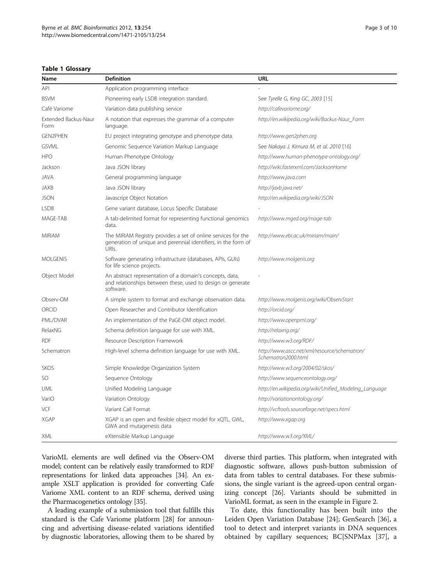#### <span id="page-2-0"></span>Table 1 Glossary

| Name                         | <b>Definition</b>                                                                                                                        | URL                                                                 |
|------------------------------|------------------------------------------------------------------------------------------------------------------------------------------|---------------------------------------------------------------------|
| API                          | Application programming interface                                                                                                        |                                                                     |
| <b>BSVM</b>                  | Pioneering early LSDB integration standard.                                                                                              | See Tyrelle G, King GC, 2003 [15]                                   |
| Café Variome                 | Variation data publishing service                                                                                                        | http://cafevariome.org/                                             |
| Extended Backus-Naur<br>Form | A notation that expresses the grammar of a computer<br>language.                                                                         | http://en.wikipedia.org/wiki/Backus-Naur_Form                       |
| <b>GEN2PHEN</b>              | EU project integrating genotype and phenotype data.                                                                                      | http://www.gen2phen.org                                             |
| <b>GSVML</b>                 | Genomic Sequence Variation Markup Language                                                                                               | See Nakaya J, Kimura M, et al. 2010 [16]                            |
| <b>HPO</b>                   | Human Phenotype Ontology                                                                                                                 | http://www.human-phenotype-ontology.org/                            |
| Jackson                      | Java JSON library                                                                                                                        | http://wiki.fasterxml.com/JacksonHome                               |
| <b>JAVA</b>                  | General programming language                                                                                                             | http://www.java.com                                                 |
| JAXB                         | Java JSON library                                                                                                                        | http://jaxb.java.net/                                               |
| <b>JSON</b>                  | Javascript Object Notation                                                                                                               | http://en.wikipedia.org/wiki/JSON                                   |
| <b>LSDB</b>                  | Gene variant database, Locus Specific Database                                                                                           |                                                                     |
| MAGE-TAB                     | A tab-delimited format for representing functional genomics<br>data.                                                                     | http://www.mged.org/mage-tab                                        |
| <b>MIRIAM</b>                | The MIRIAM Registry provides a set of online services for the<br>generation of unique and perennial identifiers, in the form of<br>URIs. | http://www.ebi.ac.uk/miriam/main/                                   |
| <b>MOI GENIS</b>             | Software generating infrastructure (databases, APIs, GUIs)<br>for life science projects.                                                 | http://www.molgenis.org                                             |
| Object Model                 | An abstract representation of a domain's concepts, data,<br>and relationships between these, used to design or generate<br>software.     |                                                                     |
| Observ-OM                    | A simple system to format and exchange observation data.                                                                                 | http://www.molgenis.org/wiki/ObservStart                            |
| ORCID                        | Open Researcher and Contributor Identification                                                                                           | http://orcid.org/                                                   |
| PML/DVAR                     | An implementation of the PaGE-OM object model.                                                                                           | http://www.openpml.org/                                             |
| RelaxNG                      | Schema definition language for use with XML.                                                                                             | http://relaxng.org/                                                 |
| <b>RDF</b>                   | Resource Description Framework                                                                                                           | http://www.w3.org/RDF/                                              |
| Schematron                   | High-level schema definition language for use with XML.                                                                                  | http://www.ascc.net/xml/resource/schematron/<br>Schematron2000.html |
| <b>SKOS</b>                  | Simple Knowledge Organization System                                                                                                     | http://www.w3.org/2004/02/skos/                                     |
| SO                           | Sequence Ontology                                                                                                                        | http://www.sequenceontology.org/                                    |
| <b>UML</b>                   | Unified Modeling Language                                                                                                                | http://en.wikipedia.org/wiki/Unified_Modeling_Language              |
| VariO                        | Variation Ontology                                                                                                                       | http://variationontology.org/                                       |
| VCF                          | Variant Call Format                                                                                                                      | http://vcftools.sourceforge.net/specs.html                          |
| XGAP                         | XGAP is an open and flexible object model for xQTL, GWL,<br>GWA and mutagenesis data                                                     | http://www.xgap.org                                                 |
| XML                          | eXtensible Markup Language                                                                                                               | http://www.w3.org/XML/                                              |

VarioML elements are well defined via the Observ-OM model; content can be relatively easily transformed to RDF representations for linked data approaches [\[34\]](#page-9-0). An example XSLT application is provided for converting Cafe Variome XML content to an RDF schema, derived using the Pharmacogenetics ontology [[35](#page-9-0)].

A leading example of a submission tool that fulfills this standard is the Cafe Variome platform [\[28\]](#page-8-0) for announcing and advertising disease-related variations identified by diagnostic laboratories, allowing them to be shared by diverse third parties. This platform, when integrated with diagnostic software, allows push-button submission of data from tables to central databases. For these submissions, the single variant is the agreed-upon central organizing concept [\[26\]](#page-8-0). Variants should be submitted in VarioML format, as seen in the example in Figure [2.](#page-3-0)

To date, this functionality has been built into the Leiden Open Variation Database [\[24\]](#page-8-0); GenSearch [[36](#page-9-0)], a tool to detect and interpret variants in DNA sequences obtained by capillary sequences; BC|SNPMax [[37\]](#page-9-0), a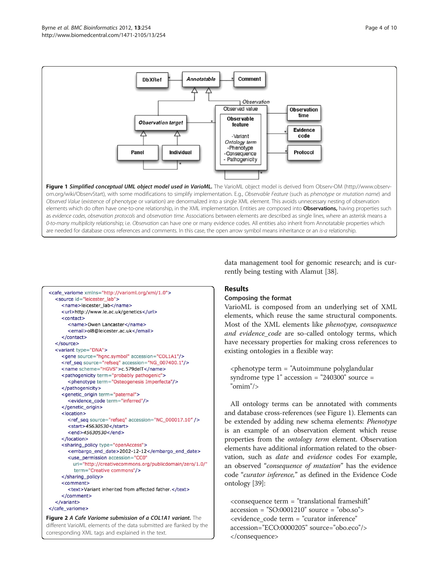<span id="page-3-0"></span>

elements which do often have one-to-one relationship, in the XML implementation. Entities are composed into Observations, having properties such as evidence codes, observation protocols and observation time. Associations between elements are described as single lines, where an asterisk means a 0-to-many multiplicity relationship; i.e. Observation can have one or many evidence codes. All entities also inherit from Annotatable properties which are needed for database cross references and comments. In this case, the open arrow symbol means inheritance or an is-a relationship.



data management tool for genomic research; and is currently being testing with Alamut [\[38\]](#page-9-0).

### Results

# Composing the format

VarioML is composed from an underlying set of XML elements, which reuse the same structural components. Most of the XML elements like phenotype, consequence and evidence\_code are so-called ontology terms, which have necessary properties for making cross references to existing ontologies in a flexible way:

 $\epsilon$  < phenotype term = "Autoimmune polyglandular syndrome type  $1$ " accession = "240300" source = "omim"/>

All ontology terms can be annotated with comments and database cross-references (see Figure 1). Elements can be extended by adding new schema elements: Phenotype is an example of an observation element which reuse properties from the ontology term element. Observation elements have additional information related to the observation, such as date and evidence codes For example, an observed "consequence of mutation" has the evidence code "curator inference," as defined in the Evidence Code ontology [\[39\]](#page-9-0):

<consequence term = "translational frameshift" accession = "SO:0001210" source = "obo.so"> <evidence\_code term = "curator inference" accession="ECO:0000205" source="obo.eco"/> </consequence>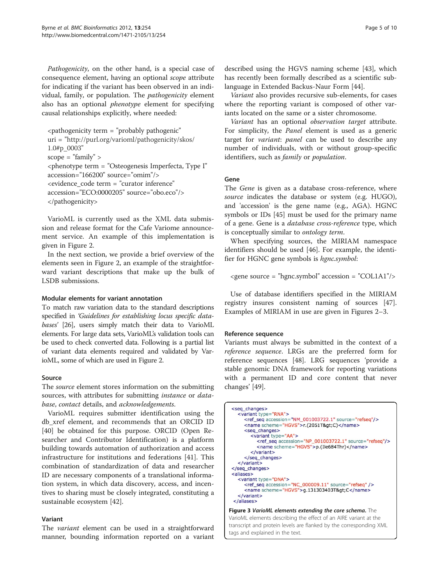<span id="page-4-0"></span>Pathogenicity, on the other hand, is a special case of consequence element, having an optional scope attribute for indicating if the variant has been observed in an individual, family, or population. The *pathogenicity* element also has an optional phenotype element for specifying causal relationships explicitly, where needed:

```
<pathogenicity term = "probably pathogenic"
uri = "http://purl.org/varioml/pathogenicity/skos/
1.0#p_0003"
scope = "family" ><phenotype term = "Osteogenesis Imperfecta, Type I"
accession="166200" source="omim"/>
<evidence_code term = "curator inference"
accession="ECO:0000205" source="obo.eco"/>
</pathogenicity>
```
VarioML is currently used as the XML data submission and release format for the Cafe Variome announcement service. An example of this implementation is given in Figure [2.](#page-3-0)

In the next section, we provide a brief overview of the elements seen in Figure [2](#page-3-0), an example of the straightforward variant descriptions that make up the bulk of LSDB submissions.

### Modular elements for variant annotation

To match raw variation data to the standard descriptions specified in 'Guidelines for establishing locus specific databases' [\[26\]](#page-8-0), users simply match their data to VarioML elements. For large data sets, VarioML's validation tools can be used to check converted data. Following is a partial list of variant data elements required and validated by VarioML, some of which are used in Figure [2](#page-3-0).

### Source

The *source* element stores information on the submitting sources, with attributes for submitting *instance* or *data*base, contact details, and acknowledgements.

VarioML requires submitter identification using the db\_xref element, and recommends that an ORCID ID [[40\]](#page-9-0) be obtained for this purpose. ORCID (Open Researcher and Contributor Identification) is a platform building towards automation of authorization and access infrastructure for institutions and federations [\[41](#page-9-0)]. This combination of standardization of data and researcher ID are necessary components of a translational information system, in which data discovery, access, and incentives to sharing must be closely integrated, constituting a sustainable ecosystem [\[42](#page-9-0)].

### Variant

The *variant* element can be used in a straightforward manner, bounding information reported on a variant

Variant also provides recursive sub-elements, for cases where the reporting variant is composed of other variants located on the same or a sister chromosome.

Variant has an optional observation target attribute. For simplicity, the Panel element is used as a generic target for *variant: panel* can be used to describe any number of individuals, with or without group-specific identifiers, such as *family* or *population*.

#### Gene

The *Gene* is given as a database cross-reference, where source indicates the database or system (e.g. HUGO), and 'accession' is the gene name (e.g., AGA). HGNC symbols or IDs [\[45\]](#page-9-0) must be used for the primary name of a gene. Gene is a database cross-reference type, which is conceptually similar to ontology term.

When specifying sources, the MIRIAM namespace identifiers should be used [[46\]](#page-9-0). For example, the identifier for HGNC gene symbols is hgnc.symbol:

<gene source = "hgnc.symbol" accession = "COL1A1"/>

Use of database identifiers specified in the MIRIAM registry insures consistent naming of sources [\[47](#page-9-0)]. Examples of MIRIAM in use are given in Figures [2](#page-3-0)–3.

### Reference sequence

Variants must always be submitted in the context of a reference sequence. LRGs are the preferred form for reference sequences [[48\]](#page-9-0). LRG sequences 'provide a stable genomic DNA framework for reporting variations with a permanent ID and core content that never changes' [\[49\]](#page-9-0).

| <seg changes=""><br/><variant type="RNA"></variant></seg>       |
|-----------------------------------------------------------------|
| <ref accession="NM_001003722.1" seg="" source="refseg"></ref>   |
| <name scheme="HGVS">r.(2051T&amp;qtC)</name>                    |
| <seg changes=""></seg>                                          |
| <variant type="AA"></variant>                                   |
| <ref accession="NP_001003722.1" seq="" source="refseq"></ref>   |
| <name scheme="HGVS">p.(Ile684Thr)</name>                        |
| $\langle$ /variant>                                             |
| $\le$ /seq changes>                                             |
| $\langle$ /variant>                                             |
|                                                                 |
| <aliases></aliases>                                             |
| <variant type="DNA"></variant>                                  |
| <ref accession="NC 000009.11" seq="" source="refseq"></ref>     |
| <name scheme="HGVS">q.131303403T&amp;qtC</name>                 |
| $\langle$ /variant>                                             |
| $\langle$ aliases>                                              |
| <b>Figure 3 VarioML elements extending the core schema.</b> The |

VarioML elements describing the effect of an AIRE variant at the transcript and protein levels are flanked by the corresponding XML tags and explained in the text.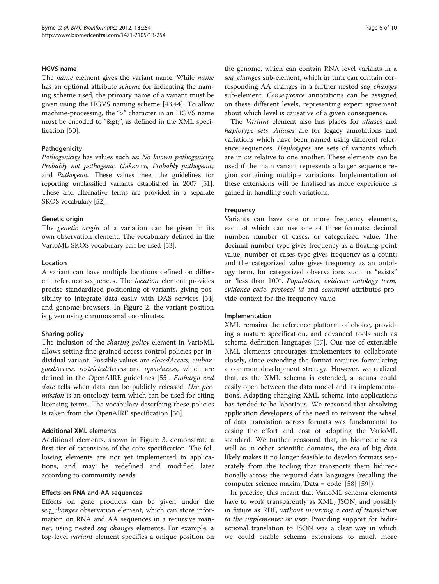#### HGVS name

The name element gives the variant name. While name has an optional attribute *scheme* for indicating the naming scheme used, the primary name of a variant must be given using the HGVS naming scheme [[43,44](#page-9-0)]. To allow machine-processing, the ">" character in an HGVS name must be encoded to ">", as defined in the XML specification [\[50](#page-9-0)].

### Pathogenicity

Pathogenicity has values such as: No known pathogenicity, Probably not pathogenic, Unknown, Probably pathogenic, and Pathogenic. These values meet the guidelines for reporting unclassified variants established in 2007 [\[51](#page-9-0)]. These and alternative terms are provided in a separate SKOS vocabulary [\[52\]](#page-9-0).

#### Genetic origin

The *genetic origin* of a variation can be given in its own observation element. The vocabulary defined in the VarioML SKOS vocabulary can be used [[53](#page-9-0)].

#### Location

A variant can have multiple locations defined on different reference sequences. The location element provides precise standardized positioning of variants, giving possibility to integrate data easily with DAS services [[54](#page-9-0)] and genome browsers. In Figure [2](#page-3-0), the variant position is given using chromosomal coordinates.

### Sharing policy

The inclusion of the sharing policy element in VarioML allows setting fine-grained access control policies per individual variant. Possible values are closedAccess, embargoedAccess, restrictedAccess and openAccess, which are defined in the OpenAIRE guidelines [\[55](#page-9-0)]. Embargo end date tells when data can be publicly released. Use permission is an ontology term which can be used for citing licensing terms. The vocabulary describing these policies is taken from the OpenAIRE specification [\[56](#page-9-0)].

### Additional XML elements

Additional elements, shown in Figure [3,](#page-4-0) demonstrate a first tier of extensions of the core specification. The following elements are not yet implemented in applications, and may be redefined and modified later according to community needs.

#### Effects on RNA and AA sequences

Effects on gene products can be given under the seq\_changes observation element, which can store information on RNA and AA sequences in a recursive manner, using nested seq\_changes elements. For example, a top-level variant element specifies a unique position on

the genome, which can contain RNA level variants in a seq\_changes sub-element, which in turn can contain corresponding AA changes in a further nested seq\_changes sub-element. Consequence annotations can be assigned on these different levels, representing expert agreement about which level is causative of a given consequence.

The Variant element also has places for aliases and haplotype sets. Aliases are for legacy annotations and variations which have been named using different reference sequences. Haplotypes are sets of variants which are in cis relative to one another. These elements can be used if the main variant represents a larger sequence region containing multiple variations. Implementation of these extensions will be finalised as more experience is gained in handling such variations.

### Frequency

Variants can have one or more frequency elements, each of which can use one of three formats: decimal number, number of cases, or categorized value. The decimal number type gives frequency as a floating point value; number of cases type gives frequency as a count; and the categorized value gives frequency as an ontology term, for categorized observations such as "exists" or "less than 100". Population, evidence ontology term, evidence code, protocol id and comment attributes provide context for the frequency value.

#### Implementation

XML remains the reference platform of choice, providing a mature specification, and advanced tools such as schema definition languages [\[57\]](#page-9-0). Our use of extensible XML elements encourages implementers to collaborate closely, since extending the format requires formulating a common development strategy. However, we realized that, as the XML schema is extended, a lacuna could easily open between the data model and its implementations. Adapting changing XML schema into applications has tended to be laborious. We reasoned that absolving application developers of the need to reinvent the wheel of data translation across formats was fundamental to easing the effort and cost of adopting the VarioML standard. We further reasoned that, in biomedicine as well as in other scientific domains, the era of big data likely makes it no longer feasible to develop formats separately from the tooling that transports them bidirectionally across the required data languages (recalling the computer science maxim, 'Data = code' [\[58\]](#page-9-0) [\[59](#page-9-0)]).

In practice, this meant that VarioML schema elements have to work transparently as XML, JSON, and possibly in future as RDF, without incurring a cost of translation to the implementer or user. Providing support for bidirectional translation to JSON was a clear way in which we could enable schema extensions to much more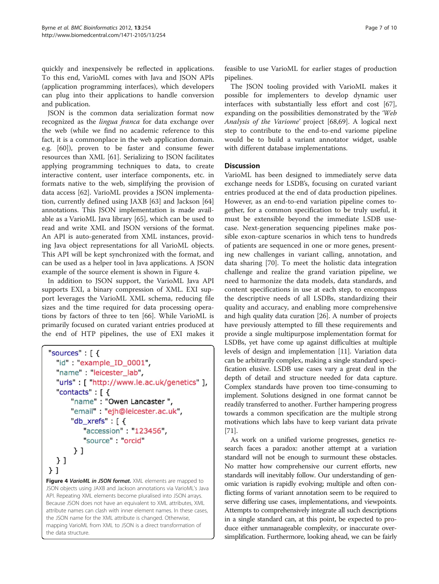quickly and inexpensively be reflected in applications. To this end, VarioML comes with Java and JSON APIs (application programming interfaces), which developers can plug into their applications to handle conversion and publication.

JSON is the common data serialization format now recognized as the lingua franca for data exchange over the web (while we find no academic reference to this fact, it is a commonplace in the web application domain. e.g. [\[60](#page-9-0)]), proven to be faster and consume fewer resources than XML [[61\]](#page-9-0). Serializing to JSON facilitates applying programming techniques to data, to create interactive content, user interface components, etc. in formats native to the web, simplifying the provision of data access [[62](#page-9-0)]. VarioML provides a JSON implementation, currently defined using JAXB [[63](#page-9-0)] and Jackson [[64](#page-9-0)] annotations. This JSON implementation is made available as a VarioML Java library [\[65](#page-9-0)], which can be used to read and write XML and JSON versions of the format. An API is auto-generated from XML instances, providing Java object representations for all VarioML objects. This API will be kept synchronized with the format, and can be used as a helper tool in Java applications. A JSON example of the source element is shown in Figure 4.

In addition to JSON support, the VarioML Java API supports EXI, a binary compression of XML. EXI support leverages the VarioML XML schema, reducing file sizes and the time required for data processing operations by factors of three to ten [[66\]](#page-9-0). While VarioML is primarily focused on curated variant entries produced at the end of HTP pipelines, the use of EXI makes it

```
"sources" : [ {
  "id": example_ID_0001",
  "name": "leicester_lab",
  "urls" [ "http://www.le.ac.uk/genetics" ].
  "contacts": [ {
      "name": "Owen Lancaster",
      "email": "ejh@leicester.ac.uk",
      "db_xrefs": [ {
         "accession": "123456",
         "source": "orcid"
      \}]
  \}]
\}]
```
Figure 4 VarioML in JSON format. XML elements are mapped to JSON objects using JAXB and Jackson annotations via VarioML's Java API. Repeating XML elements become pluralised into JSON arrays. Because JSON does not have an equivalent to XML attributes, XML attribute names can clash with inner element names. In these cases, the JSON name for the XML attribute is changed. Otherwise, mapping VarioML from XML to JSON is a direct transformation of the data structure.

feasible to use VarioML for earlier stages of production pipelines.

The JSON tooling provided with VarioML makes it possible for implementers to develop dynamic user interfaces with substantially less effort and cost [\[67](#page-9-0)], expanding on the possibilities demonstrated by the 'Web Analysis of the Variome' project [\[68,69](#page-9-0)]. A logical next step to contribute to the end-to-end variome pipeline would be to build a variant annotator widget, usable with different database implementations.

# **Discussion**

VarioML has been designed to immediately serve data exchange needs for LSDB's, focusing on curated variant entries produced at the end of data production pipelines. However, as an end-to-end variation pipeline comes together, for a common specification to be truly useful, it must be extensible beyond the immediate LSDB usecase. Next-generation sequencing pipelines make possible exon-capture scenarios in which tens to hundreds of patients are sequenced in one or more genes, presenting new challenges in variant calling, annotation, and data sharing [\[70\]](#page-9-0). To meet the holistic data integration challenge and realize the grand variation pipeline, we need to harmonize the data models, data standards, and content specifications in use at each step, to encompass the descriptive needs of all LSDBs, standardizing their quality and accuracy, and enabling more comprehensive and high quality data curation [\[26\]](#page-8-0). A number of projects have previously attempted to fill these requirements and provide a single multipurpose implementation format for LSDBs, yet have come up against difficulties at multiple levels of design and implementation [\[11\]](#page-8-0). Variation data can be arbitrarily complex, making a single standard specification elusive. LSDB use cases vary a great deal in the depth of detail and structure needed for data capture. Complex standards have proven too time-consuming to implement. Solutions designed in one format cannot be readily transferred to another. Further hampering progress towards a common specification are the multiple strong motivations which labs have to keep variant data private [[71](#page-9-0)].

As work on a unified variome progresses, genetics research faces a paradox: another attempt at a variation standard will not be enough to surmount these obstacles. No matter how comprehensive our current efforts, new standards will inevitably follow. Our understanding of genomic variation is rapidly evolving; multiple and often conflicting forms of variant annotation seem to be required to serve differing use cases, implementations, and viewpoints. Attempts to comprehensively integrate all such descriptions in a single standard can, at this point, be expected to produce either unmanageable complexity, or inaccurate oversimplification. Furthermore, looking ahead, we can be fairly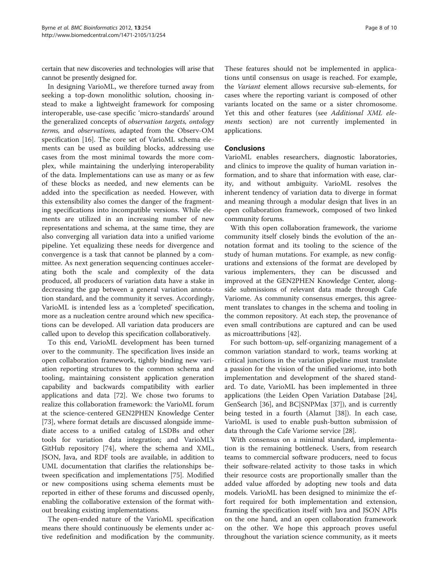certain that new discoveries and technologies will arise that cannot be presently designed for.

In designing VarioML, we therefore turned away from seeking a top-down monolithic solution, choosing instead to make a lightweight framework for composing interoperable, use-case specific 'micro-standards' around the generalized concepts of observation targets, ontology terms, and observations, adapted from the Observ-OM specification [\[16](#page-8-0)]. The core set of VarioML schema elements can be used as building blocks, addressing use cases from the most minimal towards the more complex, while maintaining the underlying interoperability of the data. Implementations can use as many or as few of these blocks as needed, and new elements can be added into the specification as needed. However, with this extensibility also comes the danger of the fragmenting specifications into incompatible versions. While elements are utilized in an increasing number of new representations and schema, at the same time, they are also converging all variation data into a unified variome pipeline. Yet equalizing these needs for divergence and convergence is a task that cannot be planned by a committee. As next generation sequencing continues accelerating both the scale and complexity of the data produced, all producers of variation data have a stake in decreasing the gap between a general variation annotation standard, and the community it serves. Accordingly, VarioML is intended less as a 'completed' specification, more as a nucleation centre around which new specifications can be developed. All variation data producers are called upon to develop this specification collaboratively.

To this end, VarioML development has been turned over to the community. The specification lives inside an open collaboration framework, tightly binding new variation reporting structures to the common schema and tooling, maintaining consistent application generation capability and backwards compatibility with earlier applications and data [[72](#page-9-0)]. We chose two forums to realize this collaboration framework: the VarioML forum at the science-centered GEN2PHEN Knowledge Center [[73\]](#page-9-0), where format details are discussed alongside immediate access to a unified catalog of LSDBs and other tools for variation data integration; and VarioML's GitHub repository [\[74](#page-9-0)], where the schema and XML, JSON, Java, and RDF tools are available, in addition to UML documentation that clarifies the relationships between specification and implementations [\[75](#page-9-0)]. Modified or new compositions using schema elements must be reported in either of these forums and discussed openly, enabling the collaborative extension of the format without breaking existing implementations.

The open-ended nature of the VarioML specification means there should continuously be elements under active redefinition and modification by the community.

These features should not be implemented in applications until consensus on usage is reached. For example, the Variant element allows recursive sub-elements, for cases where the reporting variant is composed of other variants located on the same or a sister chromosome. Yet this and other features (see Additional XML elements section) are not currently implemented in applications.

### Conclusions

VarioML enables researchers, diagnostic laboratories, and clinics to improve the quality of human variation information, and to share that information with ease, clarity, and without ambiguity. VarioML resolves the inherent tendency of variation data to diverge in format and meaning through a modular design that lives in an open collaboration framework, composed of two linked community forums.

With this open collaboration framework, the variome community itself closely binds the evolution of the annotation format and its tooling to the science of the study of human mutations. For example, as new configurations and extensions of the format are developed by various implementers, they can be discussed and improved at the GEN2PHEN Knowledge Center, alongside submissions of relevant data made through Cafe Variome. As community consensus emerges, this agreement translates to changes in the schema and tooling in the common repository. At each step, the provenance of even small contributions are captured and can be used as microattributions [\[42](#page-9-0)].

For such bottom-up, self-organizing management of a common variation standard to work, teams working at critical junctions in the variation pipeline must translate a passion for the vision of the unified variome, into both implementation and development of the shared standard. To date, VarioML has been implemented in three applications (the Leiden Open Variation Database [\[24](#page-8-0)], GenSearch [[36](#page-9-0)], and BC|SNPMax [[37](#page-9-0)]), and is currently being tested in a fourth (Alamut [[38\]](#page-9-0)). In each case, VarioML is used to enable push-button submission of data through the Cafe Variome service [[28](#page-8-0)].

With consensus on a minimal standard, implementation is the remaining bottleneck. Users, from research teams to commercial software producers, need to focus their software-related activity to those tasks in which their resource costs are proportionally smaller than the added value afforded by adopting new tools and data models. VarioML has been designed to minimize the effort required for both implementation and extension, framing the specification itself with Java and JSON APIs on the one hand, and an open collaboration framework on the other. We hope this approach proves useful throughout the variation science community, as it meets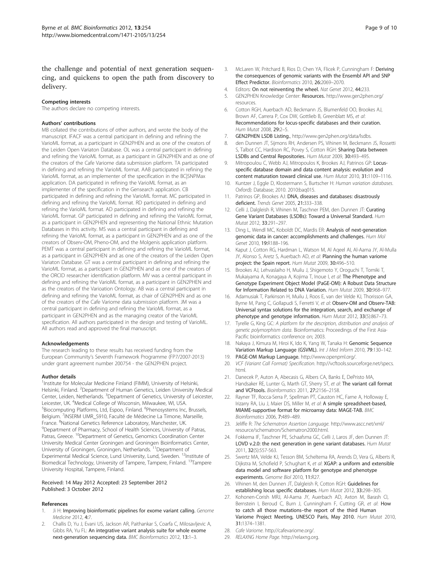<span id="page-8-0"></span>the challenge and potential of next generation sequencing, and quickens to open the path from discovery to delivery.

#### Competing interests

The authors declare no competing interests.

#### Authors' contributions

MB collated the contributions of other authors, and wrote the body of the manuscript. IFACF was a central participant in defining and refining the VarioML format, as a participant in GEN2PHEN and as one of the creators of the Leiden Open Variaton Database. OL was a central participant in defining and refining the VarioML format, as a participant in GEN2PHEN and as one of the creators of the Cafe Variome data submission platform. TA participated in defining and refining the VarioML format. AAB participated in refining the VarioML format, as an implementer of the specification in the BC|SNPMax application. DA participated in refining the VarioML format, as an implementer of the specification in the Gensearch application. CB participated in defining and refining the VarioML format. MC participated in defining and refining the VarioML format. RD participated in defining and refining the VarioML format. AD participated in defining and refining the VarioML format. GP participated in defining and refining the VarioML format, as a participant in GEN2PHEN and representing the National Ethnic Mutation Databases in this activity. MS was a central participant in defining and refining the VarioML format, as a participant in GEN2PHEN and as one of the creators of Observ-OM, Pheno-OM, and the Molgenis application platform. PEMT was a central participant in defining and refining the VarioML format, as a participant in GEN2PHEN and as one of the creators of the Leiden Open Variaton Database. GT was a central participant in defining and refining the VarioML format, as a participant in GEN2PHEN and as one of the creators of the ORCID researcher identification platform. MV was a central participant in defining and refining the VarioML format, as a participant in GEN2PHEN and as the creators of the Varioation Ontology. AB was a central participant in defining and refining the VarioML format, as chair of GEN2PHEN and as one of the creators of the Cafe Variome data submission platform. JM was a central participant in defining and refining the VarioML format, as a participant in GEN2PHEN and as the managing creator of the VarioML specification. All authors participated in the design and testing of VarioML. All authors read and approved the final manuscript.

#### Acknowledgements

The research leading to these results has received funding from the European Community's Seventh Framework Programme (FP7/2007-2013) under grant agreement number 200754 - the GEN2PHEN project.

#### Author details

<sup>1</sup>Institute for Molecular Medicine Finland (FIMM), University of Helsinki, Helsinki, Finland. <sup>2</sup>Department of Human Genetics, Leiden University Medical Center, Leiden, Netherlands. <sup>3</sup>Department of Genetics, University of Leicester, Leicester, UK. <sup>4</sup>Medical College of Wisconsin, Milwaukee, WI, USA.<br><sup>5</sup>Biocomputing Platforms, Ltd. Espoo, Einland, <sup>6</sup>Phenosystems Inc Biocomputing Platforms, Ltd, Espoo, Finland. <sup>6</sup>Phenosystems Inc, Brussels, Belgium. <sup>7</sup>INSERM UMR\_S910, Faculté de Médecine La Timone, Marseille, France. <sup>8</sup>National Genetics Reference Laboratory, Manchester, UK.<br><sup>9</sup>Denartment of Pharmacy, School of Health Sciences, University <sup>9</sup>Department of Pharmacy, School of Health Sciences, University of Patras, Patras, Greece. <sup>10</sup>Department of Genetics, Genomics Coordination Center University Medical Center Groningen and Groningen Bioinformatics Center, University of Groningen, Groningen, Netherlands. 11Department of Experimental Medical Science, Lund University, Lund, Sweden. <sup>12</sup>Institute of Biomedical Technology, University of Tampere, Tampere, Finland. 13Tampere University Hospital, Tampere, Finland.

#### Received: 14 May 2012 Accepted: 23 September 2012 Published: 3 October 2012

#### References

- 1. Ji H: Improving bioinformatic pipelines for exome variant calling. Genome Medicine 2012, 4:7.
- 2. Challis D, Yu J, Evani US, Jackson AR, Paithankar S, Coarfa C, Milosavljevic A, Gibbs RA, Yu FL: An integrative variant analysis suite for whole exome next-generation sequencing data. BMC Bioinformatics 2012, 13:1–3.
- 3. McLaren W, Pritchard B, Rios D, Chen YA, Flicek P, Cunningham F: Deriving the consequences of genomic variants with the Ensembl API and SNP Effect Predictor. Bioinformatics 2010, 26:2069–2070.
- 4. Editors: On not reinventing the wheel. Nat Genet 2012, 44:233.
- 5. GEN2PHEN Knowledge Center: Resources. [http://www.gen2phen.org/](http://www.gen2phen.org/resources) [resources.](http://www.gen2phen.org/resources)
- 6. Cotton RGH, Auerbach AD, Beckmann JS, Blumenfeld OO, Brookes AJ, Brown AF, Carrera P, Cox DW, Gottlieb B, Greenblatt MS, et al: Recommendations for locus-specific databases and their curation. Hum Mutat 2008, 29:2–5.
- 7. GEN2PHEN LSDB Listing.,<http://www.gen2phen.org/data/lsdbs>.
- 8. den Dunnen JT, Sijmons RH, Andersen PS, Vihinen M, Beckmann JS, Rossetti S, Talbot CC, Hardison RC, Povey S, Cotton RGH: Sharing Data between LSDBs and Central Repositories. Hum Mutat 2009, 30:493–495.
- Mitropoulou C, Webb AJ, Mitropoulos K, Brookes AJ, Patrinos GP: Locusspecific database domain and data content analysis: evolution and content maturation toward clinical use. Hum Mutat 2010, 31:1109–1116.
- 10. Kuntzer J, Eggle D, Klostermann S, Burtscher H: Human variation databases. Oxford): Database; 2010. 2010:baq015.
- 11. Patrinos GP, Brookes AJ: DNA, diseases and databases: disastrously deficient. Trends Genet 2005, 21:333–338.
- 12. Celli J, Dalgleish R, Vihinen M, Taschner PEM, den Dunnen JT: Curating Gene Variant Databases (LSDBs): Toward a Universal Standard. Hum Mutat 2012, 33:291–297.
- 13. Ding L, Wendl MC, Koboldt DC, Mardis ER: Analysis of next-generation genomic data in cancer: accomplishments and challenges. Hum Mol Genet 2010, 19:R188–196.
- 14. Kaput J, Cotton RG, Hardman L, Watson M, Al Aqeel AI, Al-Aama JY, Al-Mulla JY, Alonso S, Aretz S, Auerbach AD, et al: Planning the human variome project: the Spain report. Hum Mutat 2009, 30:496-510.
- 15. Brookes AJ, Lehvaslaiho H, Muilu J, Shigemoto Y, Oroguchi T, Tomiki T, Mukaiyama A, Konagaya A, Kojima T, Inoue I, et al: The Phenotype and Genotype Experiment Object Model (PaGE-OM): A Robust Data Structure for Information Related to DNA Variation. Hum Mutat 2009, 30:968–977.
- 16. Adamusiak T, Parkinson H, Muilu J, Roos E, van der Velde KJ, Thorisson GA, Byrne M, Pang C, Gollapudi S, Ferretti V, et al: Observ-OM and Observ-TAB: Universal syntax solutions for the integration, search, and exchange of phenotype and genotype information. Hum Mutat 2012, 33(5):867–73.
- 17. Tyrelle G, King GC: A platform for the description, distribution and analysis of genetic polymorphism data. Bioinformatics: Proceedings of the First Asia-Pacific bioinformatics conference on; 2003.
- 18. Nakaya J, Kimura M, Hiroi K, Ido K, Yang W, Tanaka H: Genomic Sequence Variation Markup Language (GSVML). Int J Med Inform 2010, 79:130–142.
- 19. PAGE-OM Markup Language. <http://www.openpml.org/>.
- 20. VCF (Variant Call Format) Specification. [http://vcftools.sourceforge.net/specs.](http://vcftools.sourceforge.net/specs.html) [html.](http://vcftools.sourceforge.net/specs.html)
- 21. Danecek P, Auton A, Abecasis G, Albers CA, Banks E, DePristo MA, Handsaker RE, Lunter G, Marth GT, Sherry ST, et al: The variant call format and VCFtools. Bioinformatics 2011, 27:2156–2158.
- 22. Rayner TF, Rocca-Serra P, Spellman PT, Causton HC, Farne A, Holloway E, Irizarry RA, Liu J, Maier DS, Miller M, et al: A simple spreadsheet-based, MIAME-supportive format for microarray data: MAGE-TAB. BMC Bioinformatics 2006, 7:489–489.
- 23. Jeliffe R: The Schematron Assertion Language. [http://www.ascc.net/xml/](http://www.ascc.net/xml/resource/schematron/Schematron2000.html) [resource/schematron/Schematron2000.html.](http://www.ascc.net/xml/resource/schematron/Schematron2000.html)
- 24. Fokkema IF, Taschner PE, Schaafsma GC, Celli J, Laros JF, den Dunnen JT: LOVD v.2.0: the next generation in gene variant databases. Hum Mutat 2011, 32(5):557-563.
- 25. Swertz MA, Velde KJ, Tesson BM, Scheltema RA, Arends D, Vera G, Alberts R, Dijkstra M, Schofield P, Schughart K, et al: XGAP: a uniform and extensible data model and software platform for genotype and phenotype experiments. Genome Biol 2010, 11:R27.
- 26. Vihinen M, den Dunnen JT, Dalgleish R, Cotton RGH: Guidelines for establishing locus specific databases. Hum Mutat 2012, 33:298–305.
- 27. Kohonen-Corish MRJ, Al-Aama JY, Auerbach AD, Axton M, Barash CI, Bernstein I, Beroud C, Burn J, Cunningham F, Cutting GR, et al: How to catch all those mutations–the report of the third Human Variome Project Meeting, UNESCO Paris, May 2010. Hum Mutat 2010, 31:1374–1381.
- 28. Cafe Variome. [http://cafevariome.org/.](http://cafevariome.org/)
- 29. RELAXNG Home Page. [http://relaxng.org.](http://relaxng.org)